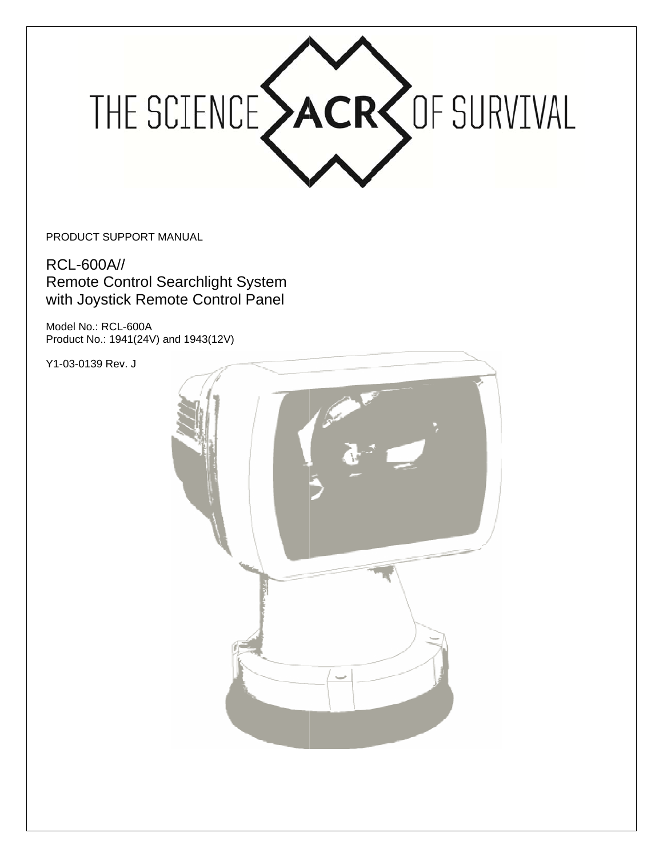

PRODUCT SUPPORT MANUAL

**RCL-600A// Remote Control Searchlight System** with Joystick Remote Control Panel

Model No.: RCL-600A Product No.: 1941(24V) and 1943(12V)

Y1-03-0139 Rev. J

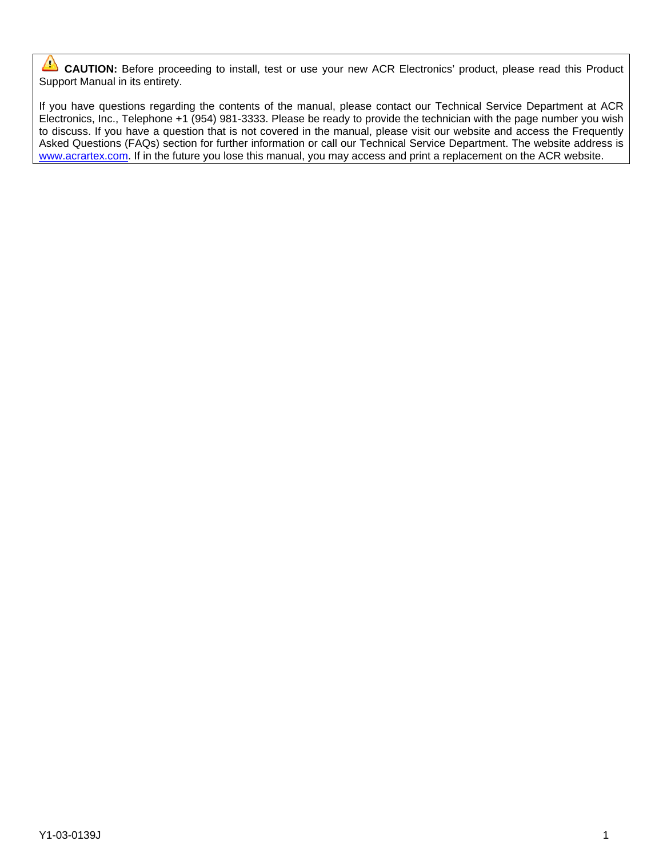$\Delta$ CAUTION: Before proceeding to install, test or use your new ACR Electronics' product, please read this Product Support Manual in its entirety.

If you have questions regarding the contents of the manual, please contact our Technical Service Department at ACR Electronics, Inc., Telephone +1 (954) 981-3333. Please be ready to provide the technician with the page number you wish to discuss. If you have a question that is not covered in the manual, please visit our website and access the Frequently Asked Questions (FAQs) section for further information or call our Technical Service Department. The website address is www.acrartex.com. If in the future you lose this manual, you may access and print a replacement on the ACR website.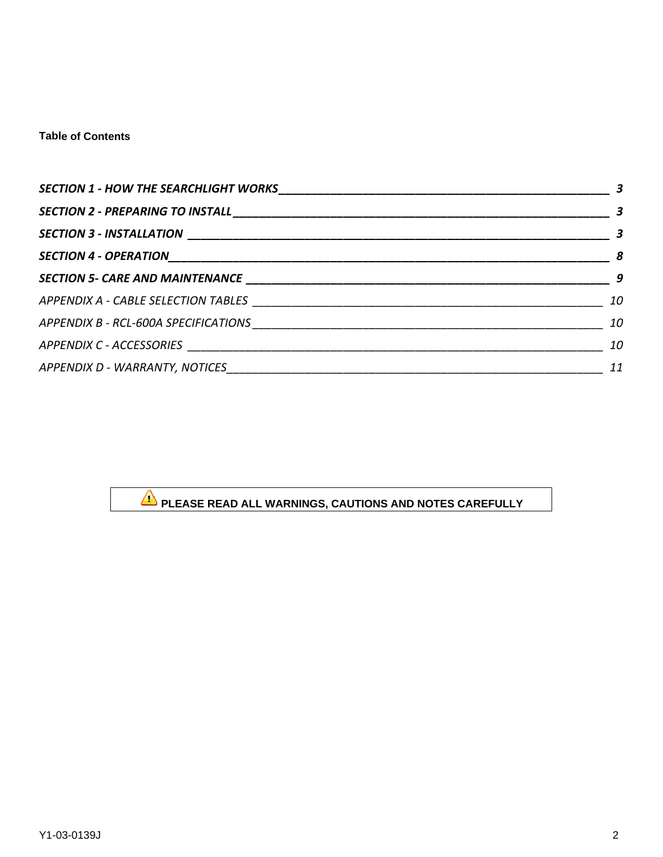### **Table of Contents**

|                                               | $\overline{\phantom{a}}$ |
|-----------------------------------------------|--------------------------|
|                                               | $\sim$ 3                 |
|                                               |                          |
|                                               | $\overline{\phantom{a}}$ |
|                                               | 10                       |
|                                               | 10                       |
|                                               | 10                       |
| APPENDIX D - WARRANTY, NOTICES_______________ | 11                       |

# PLEASE READ ALL WARNINGS, CAUTIONS AND NOTES CAREFULLY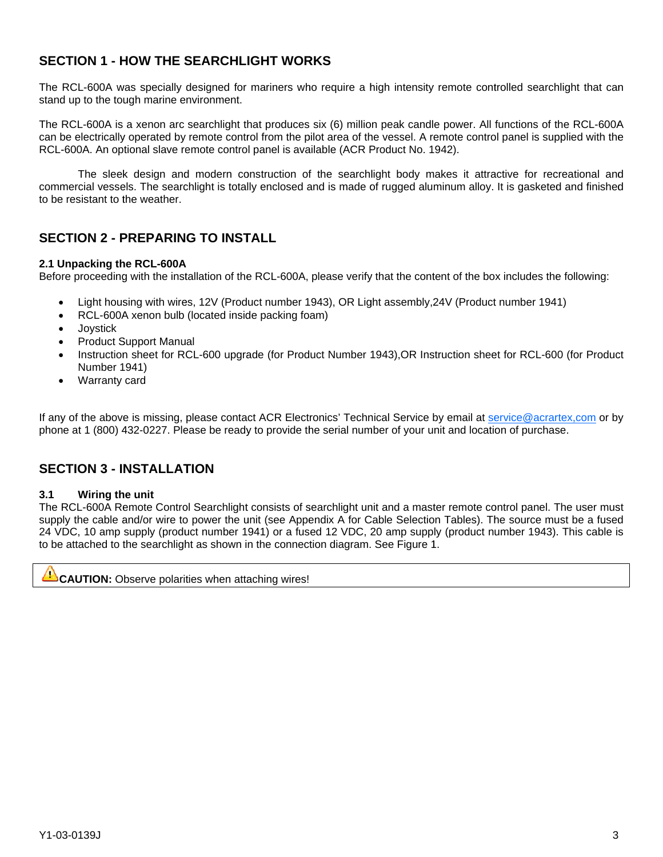# **SECTION 1 - HOW THE SEARCHLIGHT WORKS**

The RCL-600A was specially designed for mariners who require a high intensity remote controlled searchlight that can stand up to the tough marine environment.

The RCL-600A is a xenon arc searchlight that produces six (6) million peak candle power. All functions of the RCL-600A can be electrically operated by remote control from the pilot area of the vessel. A remote control panel is supplied with the RCL-600A. An optional slave remote control panel is available (ACR Product No. 1942).

The sleek design and modern construction of the searchlight body makes it attractive for recreational and commercial vessels. The searchlight is totally enclosed and is made of rugged aluminum alloy. It is gasketed and finished to be resistant to the weather.

# **SECTION 2 - PREPARING TO INSTALL**

### 2.1 Unpacking the RCL-600A

Before proceeding with the installation of the RCL-600A, please verify that the content of the box includes the following:

- Light housing with wires, 12V (Product number 1943), OR Light assembly, 24V (Product number 1941)
- RCL-600A xenon bulb (located inside packing foam)
- Joystick
- **Product Support Manual**
- Instruction sheet for RCL-600 upgrade (for Product Number 1943), OR Instruction sheet for RCL-600 (for Product Number 1941)
- Warranty card

If any of the above is missing, please contact ACR Electronics' Technical Service by email at service@acrartex,com or by phone at 1 (800) 432-0227. Please be ready to provide the serial number of your unit and location of purchase.

# **SECTION 3 - INSTALLATION**

#### $3.1$ Wiring the unit

The RCL-600A Remote Control Searchlight consists of searchlight unit and a master remote control panel. The user must supply the cable and/or wire to power the unit (see Appendix A for Cable Selection Tables). The source must be a fused 24 VDC, 10 amp supply (product number 1941) or a fused 12 VDC, 20 amp supply (product number 1943). This cable is to be attached to the searchlight as shown in the connection diagram. See Figure 1.

T **CAUTION:** Observe polarities when attaching wires!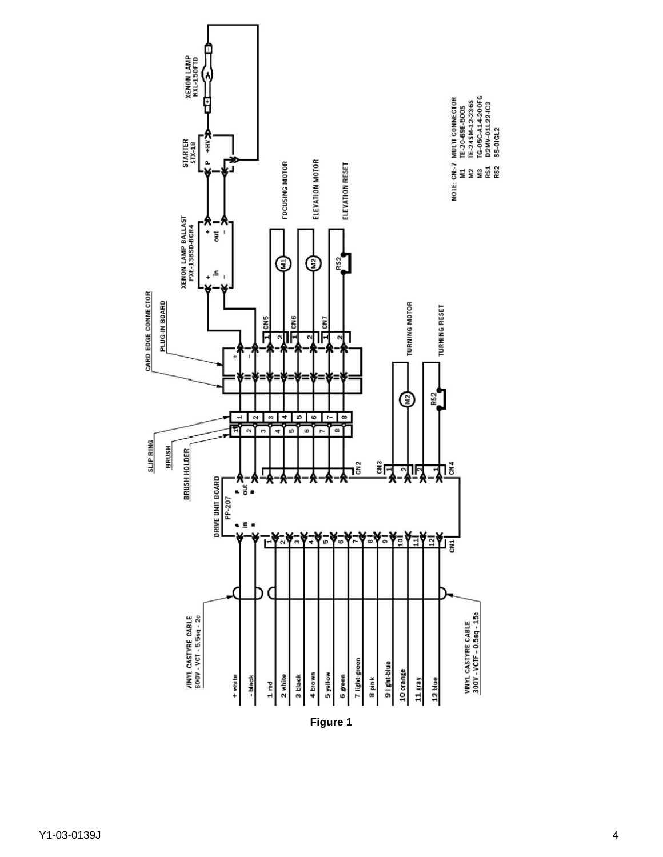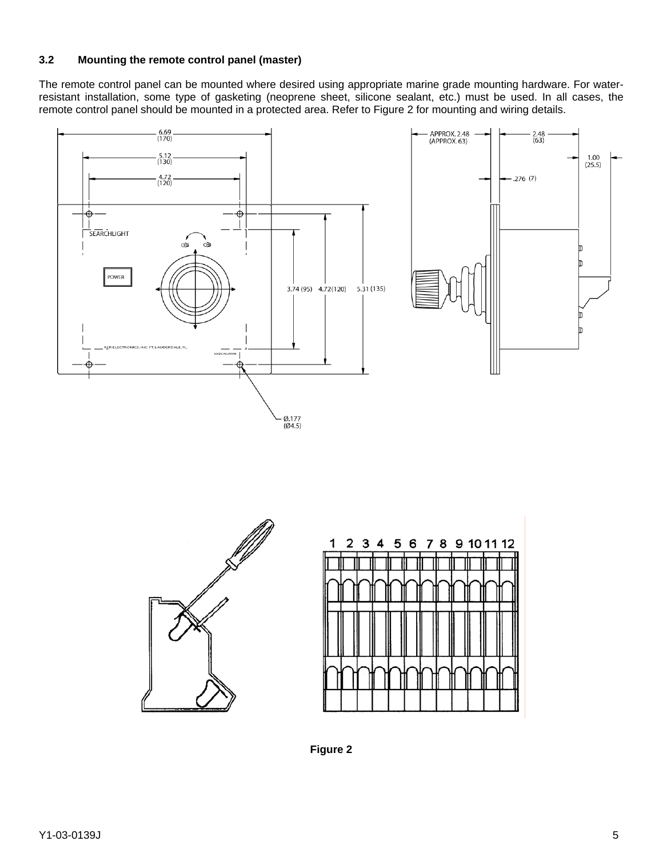### **3.2 Mounting the remote control panel (master)**

The remote control panel can be mounted where desired using appropriate marine grade mounting hardware. For waterresistant installation, some type of gasketing (neoprene sheet, silicone sealant, etc.) must be used. In all cases, the remote control panel should be mounted in a protected area. Refer to Figure 2 for mounting and wiring details.







**Figure 2**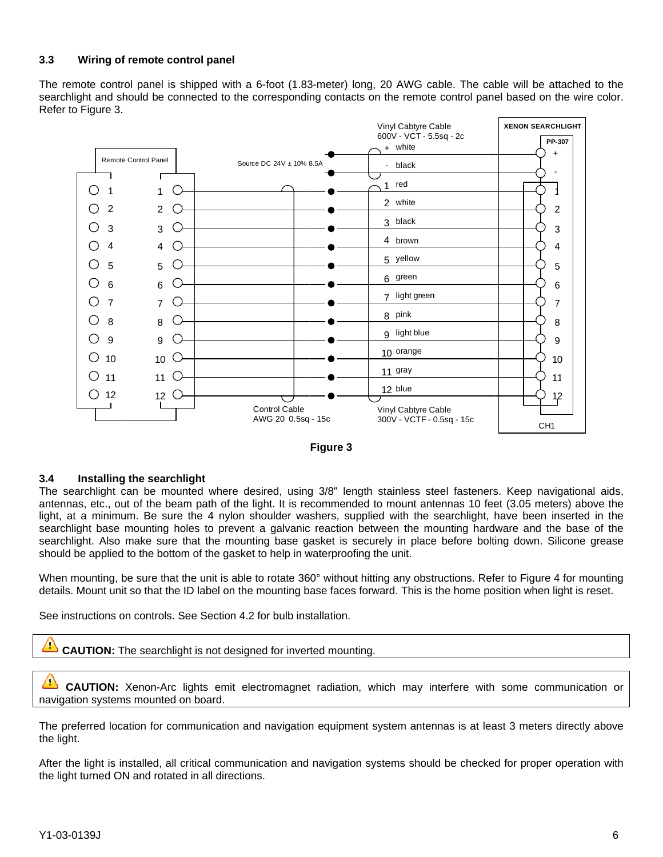#### **3.3 Wiring of remote control panel**

The remote control panel is shipped with a 6-foot (1.83-meter) long, 20 AWG cable. The cable will be attached to the The remote control panel is shipped with a 6-foot (1.83-meter) long, 20 AWG cable. The cable will be attached to the<br>searchlight and should be connected to the corresponding contacts on the remote control panel based on th Refe r to Figure 3.





#### **3.4**  Installing the searchlight

The searchlight can be mounted where desired, using 3/8" length stainless steel fasteners. Keep navigational aids, antennas, etc., out of the beam path of the light. It is recommended to mount antennas 10 feet (3.05 meters) above the light, at a minimum. Be sure the 4 nylon shoulder washers, supplied with the searchlight, have been inserted in the searchlight base mounting holes to prevent a galvanic reaction between the mounting hardware and the base of the searchlight. Also make sure that the mounting base gasket is securely in place before bolting down. Silicone grease should be applied to the bottom of the gasket to help in waterproofing the unit. eeeegor

When mounting, be sure that the unit is able to rotate 360° without hitting any obstructions. Refer to Figure 4 for mounting details. Mount unit so that the ID label on the mounting base faces forward. This is the home position when light is reset.

See instructions on controls. See Section 4.2 for bulb installation.

 $\mathcal{L}$ **CAUTION:** The searchlight is not designed for inverted mounting.

 $\triangle$ CAUTION: Xenon-Arc lights emit electromagnet radiation, which may interfere with some communication o navigation systems mounted on board.

The preferred location for communication and navigation equipment system antennas is at least 3 meters directly above the li ght. e<br>h

After the light is installed, all critical communication and navigation systems should be checked for proper operation with the light turned ON and rotated in all directions.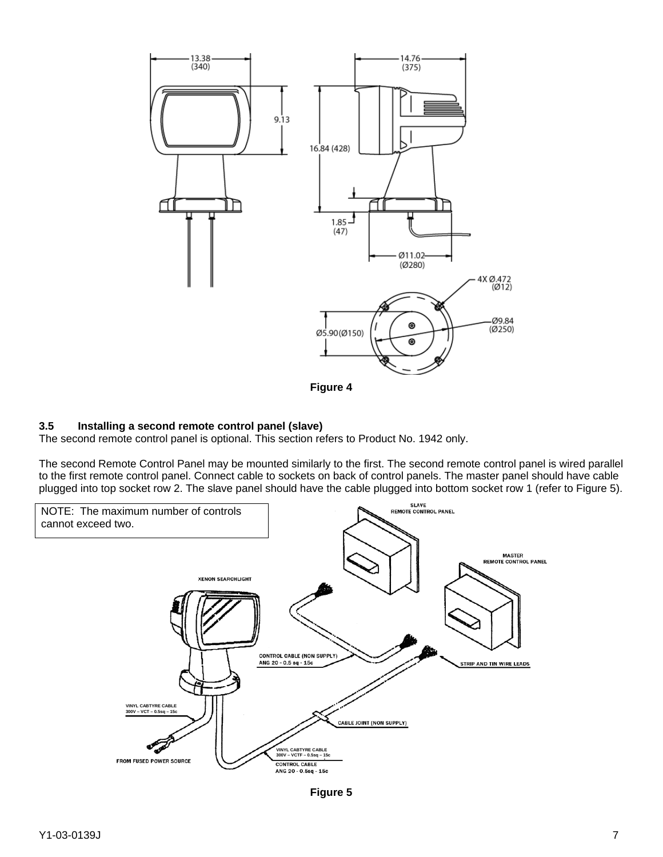

**Figure 4** 

### **3.5 Installing a second remote control panel (slave)**

The second remote control panel is optional. This section refers to Product No. 1942 only.

The second Remote Control Panel may be mounted similarly to the first. The second remote control panel is wired parallel to the first remote control panel. Connect cable to sockets on back of control panels. The master panel should have cable plugged into top socket row 2. The slave panel should have the cable plugged into bottom socket row 1 (refer to Figure 5).



**Figure 5**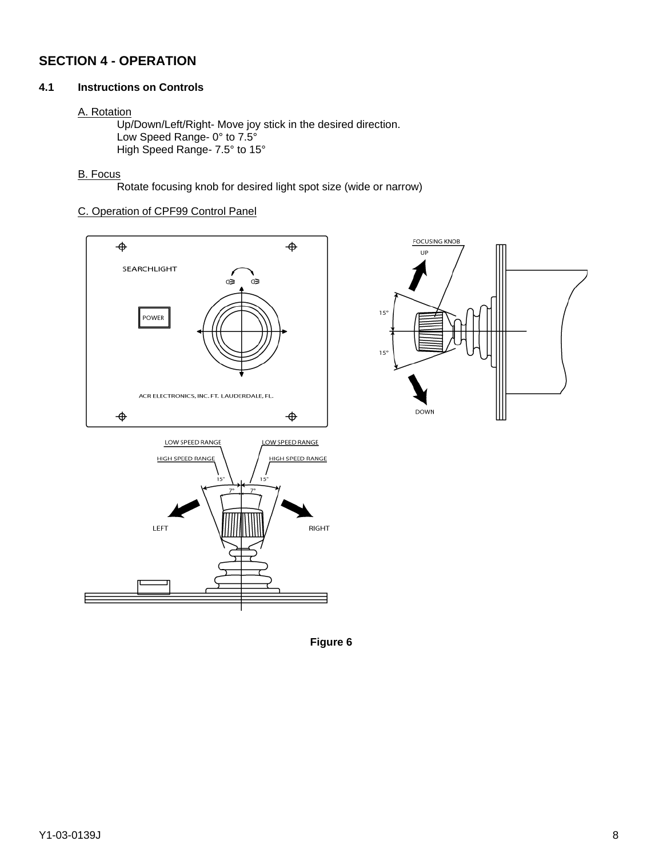# **SECTION 4 - OPERATION**

### **4.1 Instructions on Controls**

#### A. Rotation

 Up/Down/Left/Right- Move joy stick in the desired direction. Low Speed Range- 0° to 7.5° High Speed Range- 7.5° to 15°

### B. Focus

Rotate focusing knob for desired light spot size (wide or narrow)

# C. Operation of CPF99 Control Panel





**Figure 6**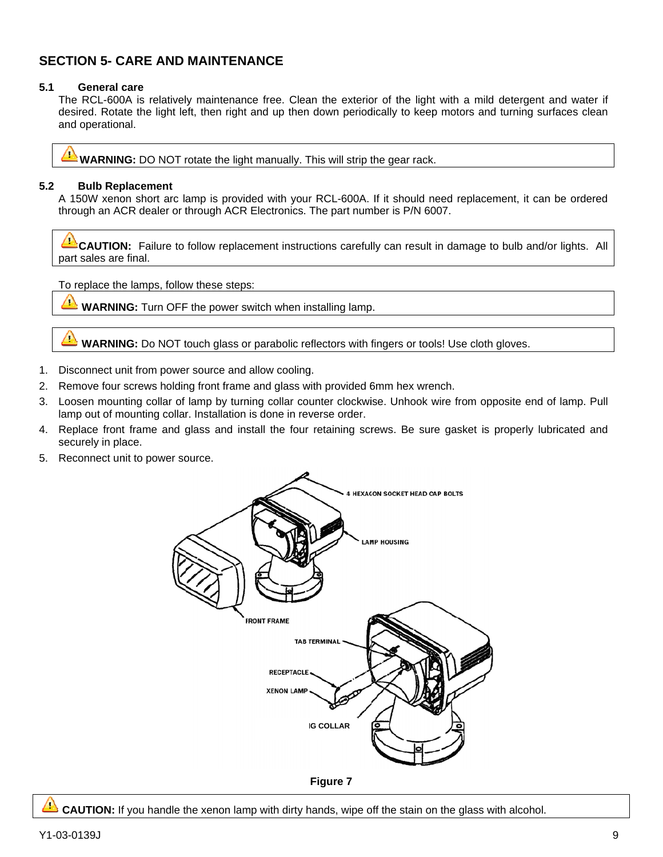# **SECTION 5- CARE AND MAINTENANCE**

#### $5.1$ **General care**

The RCL-600A is relatively maintenance free. Clean the exterior of the light with a mild detergent and water if desired. Rotate the light left, then right and up then down periodically to keep motors and turning surfaces clean and operational.

**WARNING:** DO NOT rotate the light manually. This will strip the gear rack.

#### $5.2$ **Bulb Replacement**

A 150W xenon short arc lamp is provided with your RCL-600A. If it should need replacement, it can be ordered through an ACR dealer or through ACR Electronics. The part number is P/N 6007.

4 CAUTION: Failure to follow replacement instructions carefully can result in damage to bulb and/or lights. All part sales are final.

To replace the lamps, follow these steps:

**WARNING:** Turn OFF the power switch when installing lamp.

**WARNING:** Do NOT touch glass or parabolic reflectors with fingers or tools! Use cloth gloves.

- Disconnect unit from power source and allow cooling. 1.
- Remove four screws holding front frame and glass with provided 6mm hex wrench.  $2.$
- Loosen mounting collar of lamp by turning collar counter clockwise. Unhook wire from opposite end of lamp. Pull 3. lamp out of mounting collar. Installation is done in reverse order.
- 4. Replace front frame and glass and install the four retaining screws. Be sure gasket is properly lubricated and securely in place.
- 5. Reconnect unit to power source.



**Figure 7** 

**CAUTION:** If you handle the xenon lamp with dirty hands, wipe off the stain on the glass with alcohol.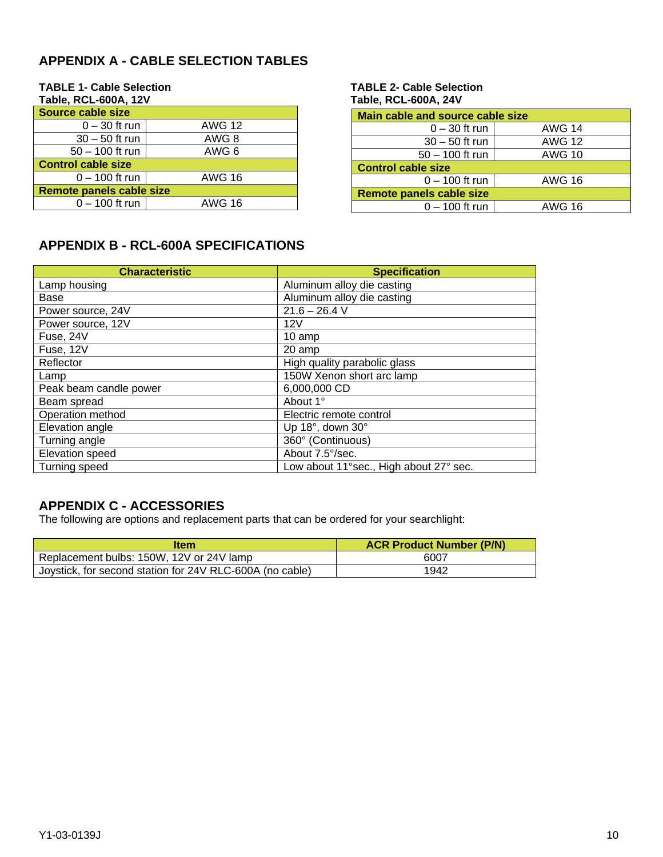# **APPENDIX A - CABLE SELECTION TABLES**

| TADIE, RUL-OUUA, TZV      |               |  |
|---------------------------|---------------|--|
| <b>Source cable size</b>  |               |  |
| $0 - 30$ ft run           | <b>AWG 12</b> |  |
| $30 - 50$ ft run          | AWG 8         |  |
| $50 - 100$ ft run         | AWG 6         |  |
| <b>Control cable size</b> |               |  |
| $0 - 100$ ft run          | <b>AWG 16</b> |  |
| Remote panels cable size  |               |  |
| $0 - 100$ ft run          | AWG 16        |  |

#### **TABLE 1- Cable Selection TABLE 2- Cable Selection Table, RCL-600A, 12V Table, RCL-600A, 24V**

| Main cable and source cable size |               |
|----------------------------------|---------------|
| $0 - 30$ ft run                  | <b>AWG 14</b> |
| $30 - 50$ ft run                 | <b>AWG 12</b> |
| $50 - 100$ ft run                | <b>AWG 10</b> |
| <b>Control cable size</b>        |               |
| $0 - 100$ ft run                 | <b>AWG 16</b> |
| Remote panels cable size         |               |
| $0 - 100$ ft run                 | AWG 16        |

# **APPENDIX B - RCL-600A SPECIFICATIONS**

| <b>Characteristic</b>  | <b>Specification</b>                   |
|------------------------|----------------------------------------|
| Lamp housing           | Aluminum alloy die casting             |
| Base                   | Aluminum alloy die casting             |
| Power source, 24V      | $21.6 - 26.4$ V                        |
| Power source, 12V      | 12V                                    |
| Fuse, 24V              | 10 amp                                 |
| Fuse, 12V              | 20 amp                                 |
| Reflector              | High quality parabolic glass           |
| Lamp                   | 150W Xenon short arc lamp              |
| Peak beam candle power | 6,000,000 CD                           |
| Beam spread            | About 1°                               |
| Operation method       | Electric remote control                |
| Elevation angle        | Up 18 $^{\circ}$ , down 30 $^{\circ}$  |
| Turning angle          | 360° (Continuous)                      |
| Elevation speed        | About 7.5°/sec.                        |
| Turning speed          | Low about 11°sec., High about 27° sec. |

# **APPENDIX C - ACCESSORIES**

The following are options and replacement parts that can be ordered for your searchlight:

| <b>Item</b>                                              | <b>ACR Product Number (P/N)</b> |
|----------------------------------------------------------|---------------------------------|
| Replacement bulbs: 150W, 12V or 24V lamp                 | 6007                            |
| Joystick, for second station for 24V RLC-600A (no cable) | 1942                            |